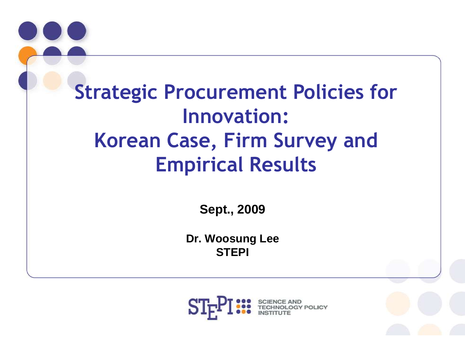

**Sept., 2009**

**Dr. Woosung Lee STEPI**

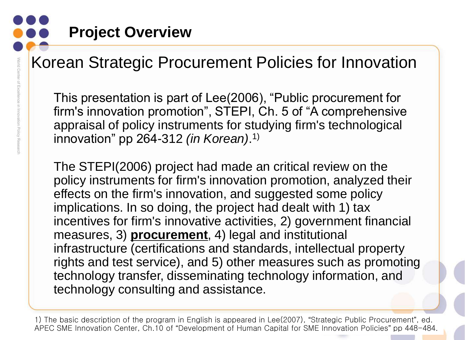### **Project Overview**

### Korean Strategic Procurement Policies for Innovation

This presentation is part of Lee(2006), "Public procurement for firm's innovation promotion", STEPI, Ch. 5 of "A comprehensive appraisal of policy instruments for studying firm's technological innovation" pp 264-312 *(in Korean)*. 1)

The STEPI(2006) project had made an critical review on the policy instruments for firm's innovation promotion, analyzed their effects on the firm's innovation, and suggested some policy implications. In so doing, the project had dealt with 1) tax incentives for firm's innovative activities, 2) government financial measures, 3) **procurement**, 4) legal and institutional infrastructure (certifications and standards, intellectual property rights and test service), and 5) other measures such as promoting technology transfer, disseminating technology information, and technology consulting and assistance.

<sup>2</sup> 1) The basic description of the program in English is appeared in Lee(2007), "Strategic Public Procurement", ed. APEC SME Innovation Center, Ch.10 of "Development of Human Capital for SME Innovation Policies" pp 448-484.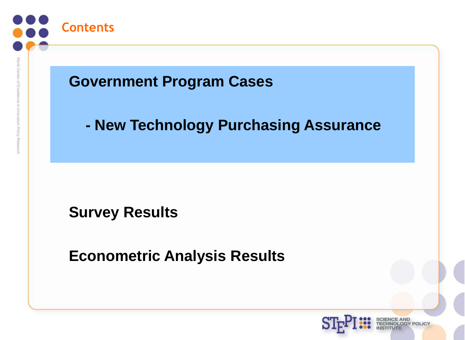

in Innovation Policy Rese

#### **Government Program Cases**

#### **- New Technology Purchasing Assurance**

**Survey Results**

**Econometric Analysis Results**

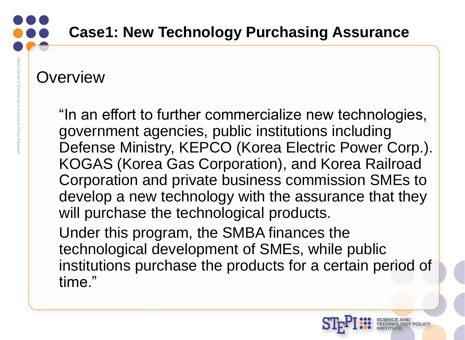#### **Overview**

"In an effort to further commercialize new technologies, government agencies, public institutions including Defense Ministry, KEPCO (Korea Electric Power Corp.). KOGAS (Korea Gas Corporation), and Korea Railroad Corporation and private business commission SMEs to develop a new technology with the assurance that they will purchase the technological products.

Under this program, the SMBA finances the technological development of SMEs, while public institutions purchase the products for a certain period of time."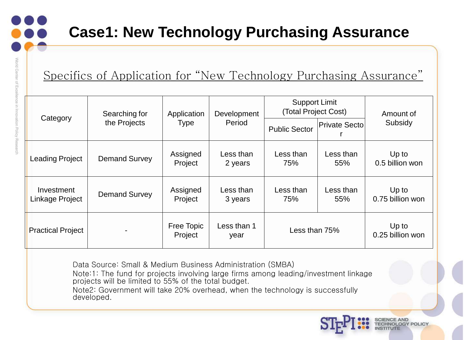Specifics of Application for "New Technology Purchasing Assurance"

| Category                      | Searching for<br>the Projects | Application<br>Type   | Development<br>Period | <b>Support Limit</b><br>(Total Project Cost) |                      | Amount of                   |
|-------------------------------|-------------------------------|-----------------------|-----------------------|----------------------------------------------|----------------------|-----------------------------|
|                               |                               |                       |                       | <b>Public Sector</b>                         | <b>Private Secto</b> | Subsidy                     |
| Leading Project               | <b>Demand Survey</b>          | Assigned<br>Project   | Less than<br>2 years  | Less than<br>75%                             | Less than<br>55%     | Up to<br>0.5 billion won    |
| Investment<br>Linkage Project | <b>Demand Survey</b>          | Assigned<br>Project   | Less than<br>3 years  | Less than<br>75%                             | Less than<br>55%     | Up to<br>0.75 billion won   |
| <b>Practical Project</b>      |                               | Free Topic<br>Project | Less than 1<br>year   | Less than 75%                                |                      | $Up$ to<br>0.25 billion won |

Data Source: Small & Medium Business Administration (SMBA)

Note:1: The fund for projects involving large firms among leading/investment linkage projects will be limited to 55% of the total budget.

Note2: Government will take 20% overhead, when the technology is successfully developed.



5

**ENCE AND** 

**OGY POLICY**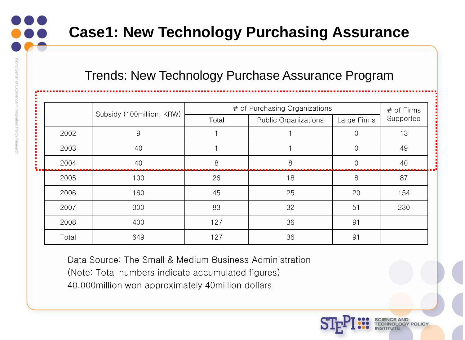#### Trends: New Technology Purchase Assurance Program

|       |                           | # of Purchasing Organizations        | # of Firms |             |           |  |
|-------|---------------------------|--------------------------------------|------------|-------------|-----------|--|
|       | Subsidy (100million, KRW) | Total<br><b>Public Organizations</b> |            | Large Firms | Supported |  |
| 2002  | 9                         |                                      |            |             | 13        |  |
| 2003  | 40                        |                                      |            | $\Omega$    | 49        |  |
| 2004  | 40                        | 8                                    | 8          |             | 40        |  |
| 2005  | 100                       | 26                                   | 18         | 8           | 87        |  |
| 2006  | 160                       | 45                                   | 25         | 20          | 154       |  |
| 2007  | 300                       | 83                                   | 32         | 51          | 230       |  |
| 2008  | 400                       | 127                                  | 36         | 91          |           |  |
| Total | 649                       | 127                                  | 36         | 91          |           |  |

6

Data Source: The Small & Medium Business Administration

(Note: Total numbers indicate accumulated figures)

40,000million won approximately 40million dollars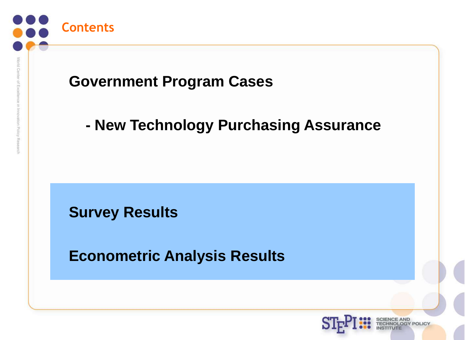

#### **Government Program Cases**

#### **- New Technology Purchasing Assurance**

**Survey Results**

**Econometric Analysis Results**

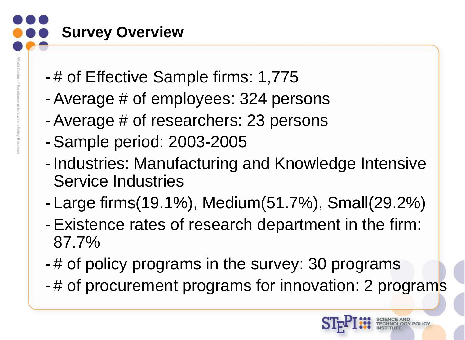## **Survey Overview**

- # of Effective Sample firms: 1,775 - Average # of employees: 324 persons - Average # of researchers: 23 persons
	- Sample period: 2003-2005
	- Industries: Manufacturing and Knowledge Intensive Service Industries
	- Large firms(19.1%), Medium(51.7%), Small(29.2%)
	- Existence rates of research department in the firm: 87.7%
	- # of policy programs in the survey: 30 programs
	- # of procurement programs for innovation: 2 programs

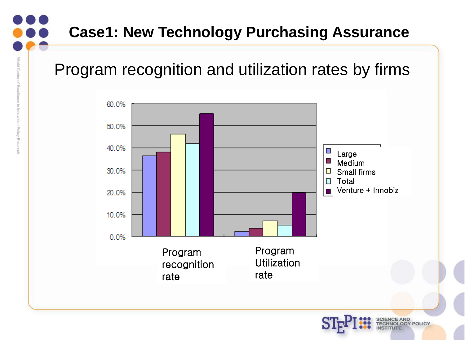### Program recognition and utilization rates by firms

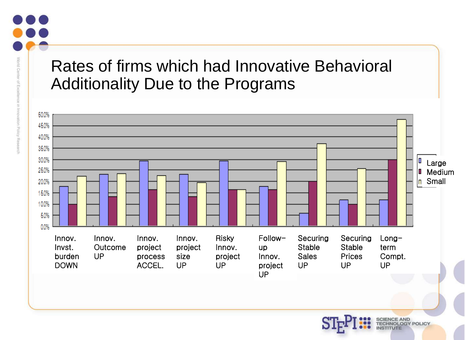#### Rates of firms which had Innovative Behavioral Additionality Due to the Programs

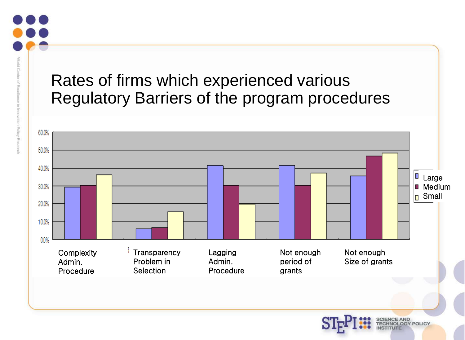#### Rates of firms which experienced various Regulatory Barriers of the program procedures

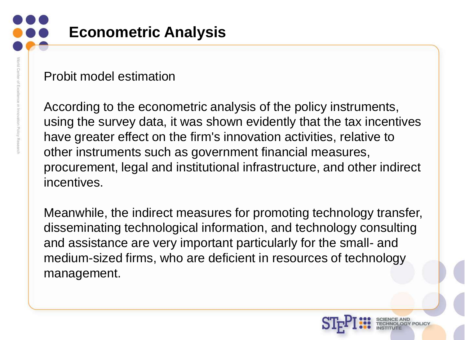## **Econometric Analysis**

#### Probit model estimation

According to the econometric analysis of the policy instruments, using the survey data, it was shown evidently that the tax incentives have greater effect on the firm's innovation activities, relative to other instruments such as government financial measures, procurement, legal and institutional infrastructure, and other indirect incentives.

Meanwhile, the indirect measures for promoting technology transfer, disseminating technological information, and technology consulting and assistance are very important particularly for the small- and medium-sized firms, who are deficient in resources of technology management.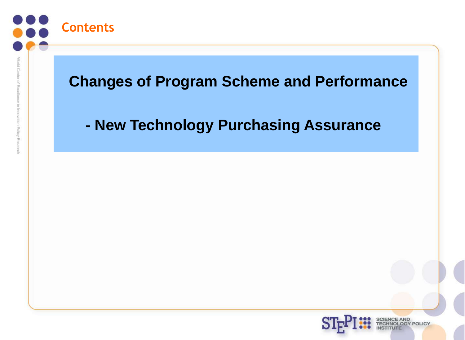

ovation Policy Rese

#### **Changes of Program Scheme and Performance**

#### **- New Technology Purchasing Assurance**

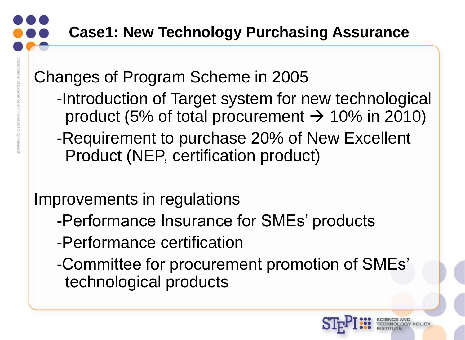Changes of Program Scheme in 2005

- -Introduction of Target system for new technological product (5% of total procurement  $\rightarrow$  10% in 2010)
- -Requirement to purchase 20% of New Excellent Product (NEP, certification product)

Improvements in regulations

- -Performance Insurance for SMEs' products
- -Performance certification
- -Committee for procurement promotion of SMEs' technological products

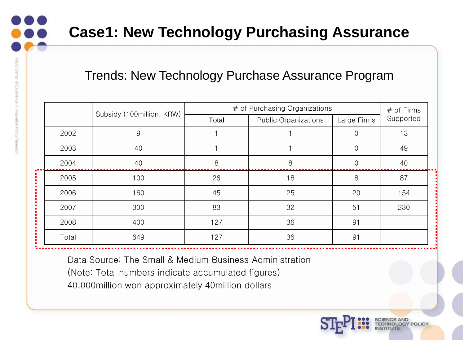Resea

#### **Case1: New Technology Purchasing Assurance**

#### Trends: New Technology Purchase Assurance Program

|       | Subsidy (100million, KRW) | # of Purchasing Organizations        | # of Firms |             |           |  |
|-------|---------------------------|--------------------------------------|------------|-------------|-----------|--|
|       |                           | Total<br><b>Public Organizations</b> |            | Large Firms | Supported |  |
| 2002  | 9                         |                                      |            |             | 13        |  |
| 2003  | 40                        |                                      |            | 0           | 49        |  |
| 2004  | 40                        | 8                                    | 8          | ი           | 40        |  |
| 2005  | 100                       | 26                                   | 18         | 8           | 87        |  |
| 2006  | 160                       | 45                                   | 25         | 20          | 154       |  |
| 2007  | 300                       | 83                                   | 32         | 51          | 230       |  |
| 2008  | 400                       | 127                                  | 36         | 91          |           |  |
| Total | 649                       | 127                                  | 36         | 91          |           |  |

Data Source: The Small & Medium Business Administration

(Note: Total numbers indicate accumulated figures)

40,000million won approximately 40million dollars

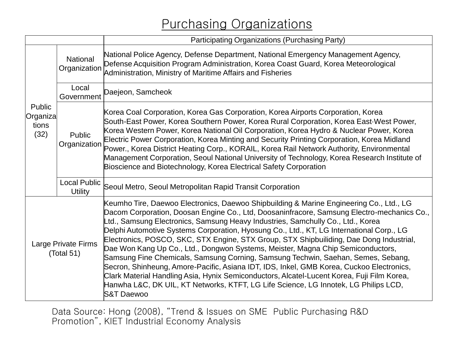#### Purchasing Organizations

|                                     |                                       | Participating Organizations (Purchasing Party)                                                                                                                                                                                                                                                                                                                                                                                                                                                                                                                                                                                                                                                                                                                                                                                                                                                                                                   |  |  |  |  |
|-------------------------------------|---------------------------------------|--------------------------------------------------------------------------------------------------------------------------------------------------------------------------------------------------------------------------------------------------------------------------------------------------------------------------------------------------------------------------------------------------------------------------------------------------------------------------------------------------------------------------------------------------------------------------------------------------------------------------------------------------------------------------------------------------------------------------------------------------------------------------------------------------------------------------------------------------------------------------------------------------------------------------------------------------|--|--|--|--|
| Public<br>Organiza<br>tions<br>(32) | <b>National</b><br>Organization       | National Police Agency, Defense Department, National Emergency Management Agency,<br>Defense Acquisition Program Administration, Korea Coast Guard, Korea Meteorological<br>Administration, Ministry of Maritime Affairs and Fisheries                                                                                                                                                                                                                                                                                                                                                                                                                                                                                                                                                                                                                                                                                                           |  |  |  |  |
|                                     | Local<br>Government                   | Daejeon, Samcheok                                                                                                                                                                                                                                                                                                                                                                                                                                                                                                                                                                                                                                                                                                                                                                                                                                                                                                                                |  |  |  |  |
|                                     | <b>Public</b><br>Organization         | Korea Coal Corporation, Korea Gas Corporation, Korea Airports Corporation, Korea<br>South-East Power, Korea Southern Power, Korea Rural Corporation, Korea East West Power,<br>Korea Western Power, Korea National Oil Corporation, Korea Hydro & Nuclear Power, Korea<br>Electric Power Corporation, Korea Minting and Security Printing Corporation, Korea Midland<br>Power., Korea District Heating Corp., KORAIL, Korea Rail Network Authority, Environmental<br>Management Corporation, Seoul National University of Technology, Korea Research Institute of<br>Bioscience and Biotechnology, Korea Electrical Safety Corporation                                                                                                                                                                                                                                                                                                           |  |  |  |  |
|                                     | <b>Local Public</b><br><b>Utility</b> | Seoul Metro, Seoul Metropolitan Rapid Transit Corporation                                                                                                                                                                                                                                                                                                                                                                                                                                                                                                                                                                                                                                                                                                                                                                                                                                                                                        |  |  |  |  |
| Large Private Firms<br>(Total 51)   |                                       | Keumho Tire, Daewoo Electronics, Daewoo Shipbuilding & Marine Engineering Co., Ltd., LG<br>Dacom Corporation, Doosan Engine Co., Ltd, Doosaninfracore, Samsung Electro-mechanics Co.,<br>Ltd., Samsung Electronics, Samsung Heavy Industries, Samchully Co., Ltd., Korea<br>Delphi Automotive Systems Corporation, Hyosung Co., Ltd., KT, LG International Corp., LG<br>Electronics, POSCO, SKC, STX Engine, STX Group, STX Shipbuiliding, Dae Dong Industrial,<br>Dae Won Kang Up Co., Ltd., Dongwon Systems, Meister, Magna Chip Semiconductors,<br>Samsung Fine Chemicals, Samsung Corning, Samsung Techwin, Saehan, Semes, Sebang,<br>Secron, Shinheung, Amore-Pacific, Asiana IDT, IDS, Inkel, GMB Korea, Cuckoo Electronics,<br>Clark Material Handling Asia, Hynix Semiconductors, Alcatel-Lucent Korea, Fuji Film Korea,<br>Hanwha L&C, DK UIL, KT Networks, KTFT, LG Life Science, LG Innotek, LG Philips LCD,<br><b>S&amp;T Daewoo</b> |  |  |  |  |

Data Source: Hong (2008), "Trend & Issues on SME Public Purchasing R&D Promotion", KIET Industrial Economy Analysis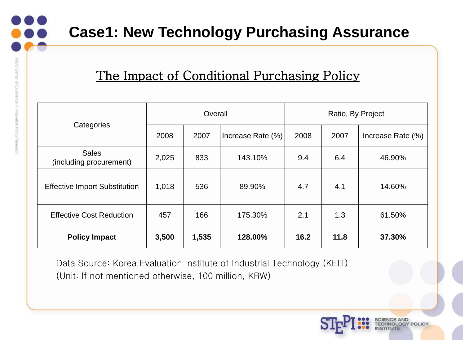#### The Impact of Conditional Purchasing Policy

|                                         | Overall |       |                   | Ratio, By Project |      |                   |
|-----------------------------------------|---------|-------|-------------------|-------------------|------|-------------------|
| Categories                              | 2008    | 2007  | Increase Rate (%) | 2008              | 2007 | Increase Rate (%) |
| <b>Sales</b><br>(including procurement) | 2,025   | 833   | 143.10%           | 9.4               | 6.4  | 46.90%            |
| <b>Effective Import Substitution</b>    | 1,018   | 536   | 89.90%            | 4.7               | 4.1  | 14.60%            |
| <b>Effective Cost Reduction</b>         | 457     | 166   | 175.30%           | 2.1               | 1.3  | 61.50%            |
| <b>Policy Impact</b>                    | 3,500   | 1,535 | 128.00%           | 16.2              | 11.8 | 37.30%            |

17

Data Source: Korea Evaluation Institute of Industrial Technology (KEIT) (Unit: If not mentioned otherwise, 100 million, KRW)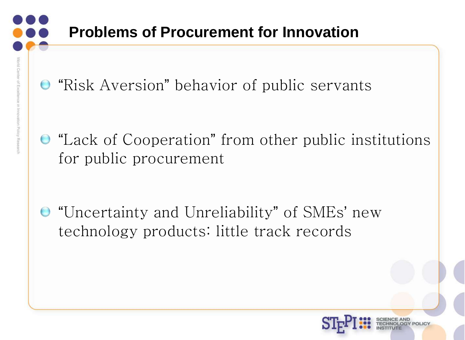**• "Risk Aversion" behavior of public servants** 

"Lack of Cooperation" from other public institutions for public procurement

"Uncertainty and Unreliability" of SMEs' new technology products: little track records

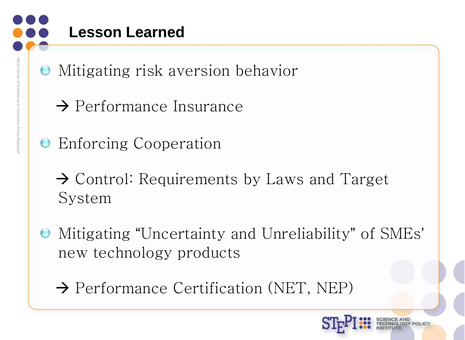- Mitigating risk aversion behavior
	- $\rightarrow$  Performance Insurance
- **Enforcing Cooperation** 
	- $\rightarrow$  Control: Requirements by Laws and Target System
- Mitigating "Uncertainty and Unreliability" of SMEs' new technology products
	- $\rightarrow$  Performance Certification (NET, NEP)

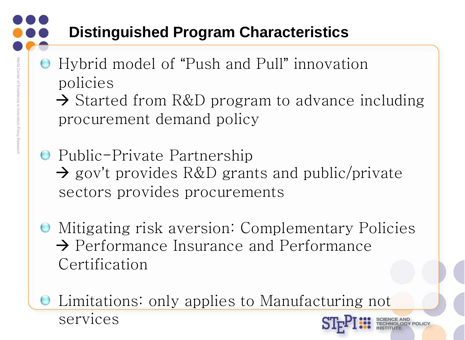## **Distinguished Program Characteristics**

- Hybrid model of "Push and Pull" innovation policies
	- $\rightarrow$  Started from R&D program to advance including procurement demand policy
- **•** Public-Private Partnership → gov't provides R&D grants and public/private sectors provides procurements
- Mitigating risk aversion: Complementary Policies  $\rightarrow$  Performance Insurance and Performance Certification

Limitations: only applies to Manufacturing not

20

services